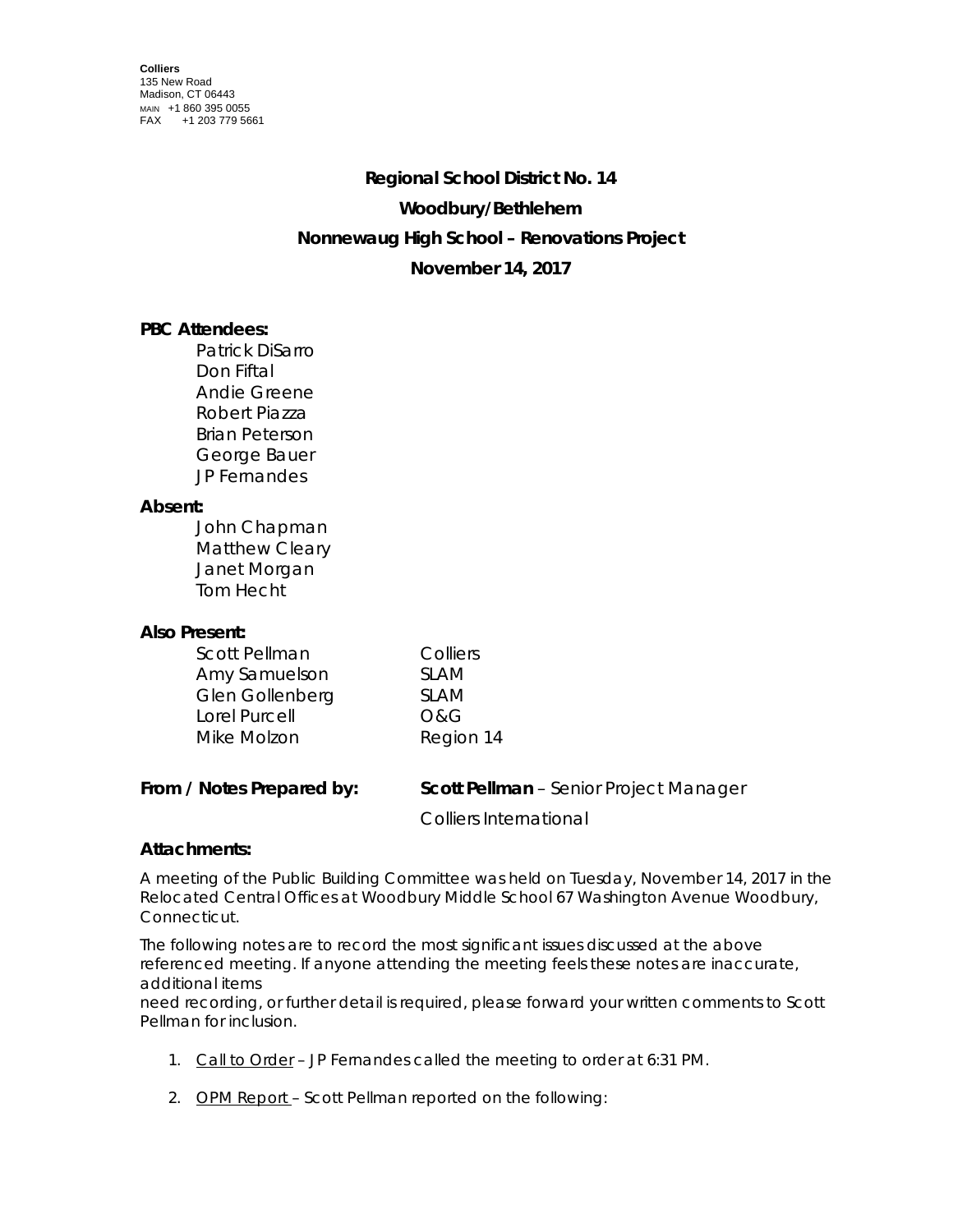# **Regional School District No. 14 Woodbury/Bethlehem Nonnewaug High School – Renovations Project November 14, 2017**

## **PBC Attendees:**

Patrick DiSarro Don Fiftal Andie Greene Robert Piazza Brian Peterson George Bauer JP Fernandes

### **Absent:**

John Chapman Matthew Cleary Janet Morgan Tom Hecht

### **Also Present:**

| Scott Pellman   | Colliers       |
|-----------------|----------------|
| Amy Samuelson   | <b>SLAM</b>    |
| Glen Gollenberg | <b>SLAM</b>    |
| Lorel Purcell   | <b>O&amp;G</b> |
| Mike Molzon     | Region 14      |

| From / Notes Prepared by: | <b>Scott Pellman</b> - Senior Project Manager |
|---------------------------|-----------------------------------------------|
|                           | Colliers International                        |

### **Attachments:**

A meeting of the Public Building Committee was held on Tuesday, November 14, 2017 in the Relocated Central Offices at Woodbury Middle School 67 Washington Avenue Woodbury, Connecticut.

The following notes are to record the most significant issues discussed at the above referenced meeting. If anyone attending the meeting feels these notes are inaccurate, additional items

need recording, or further detail is required, please forward your written comments to Scott Pellman for inclusion.

- 1. Call to Order JP Fernandes called the meeting to order at 6:31 PM.
- 2. OPM Report Scott Pellman reported on the following: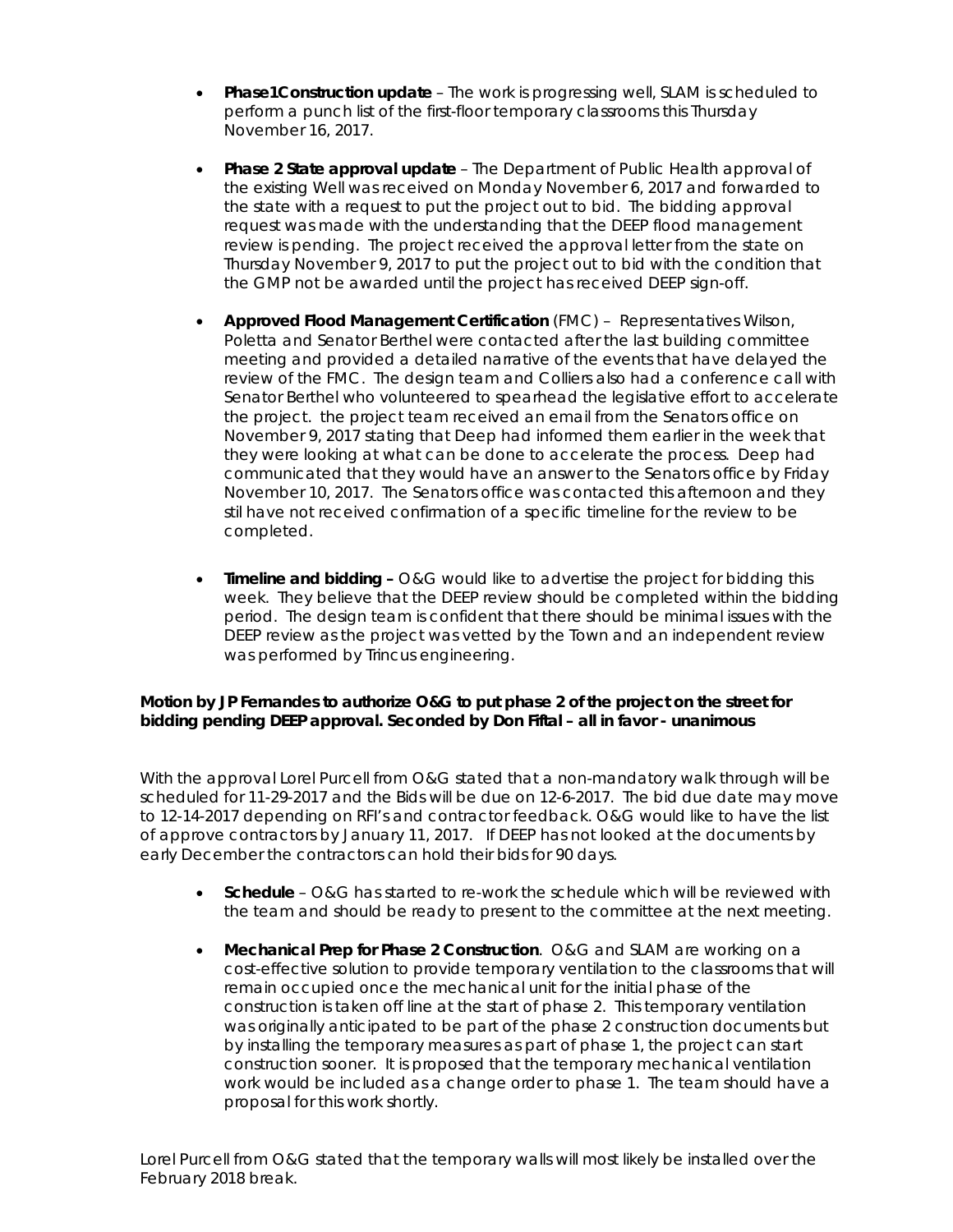- **Phase1Construction update** The work is progressing well, SLAM is scheduled to perform a punch list of the first-floor temporary classrooms this Thursday November 16, 2017.
- **Phase 2 State approval update** The Department of Public Health approval of the existing Well was received on Monday November 6, 2017 and forwarded to the state with a request to put the project out to bid. The bidding approval request was made with the understanding that the DEEP flood management review is pending. The project received the approval letter from the state on Thursday November 9, 2017 to put the project out to bid with the condition that the GMP not be awarded until the project has received DEEP sign-off.
- **Approved Flood Management Certification** (FMC) Representatives Wilson, Poletta and Senator Berthel were contacted after the last building committee meeting and provided a detailed narrative of the events that have delayed the review of the FMC. The design team and Colliers also had a conference call with Senator Berthel who volunteered to spearhead the legislative effort to accelerate the project. the project team received an email from the Senators office on November 9, 2017 stating that Deep had informed them earlier in the week that they were looking at what can be done to accelerate the process. Deep had communicated that they would have an answer to the Senators office by Friday November 10, 2017. The Senators office was contacted this afternoon and they stil have not received confirmation of a specific timeline for the review to be completed.
- **Timeline and bidding –** O&G would like to advertise the project for bidding this week. They believe that the DEEP review should be completed within the bidding period. The design team is confident that there should be minimal issues with the DEEP review as the project was vetted by the Town and an independent review was performed by Trincus engineering.

#### *Motion by JP Fernandes to authorize O&G to put phase 2 of the project on the street for bidding pending DEEP approval. Seconded by Don Fiftal – all in favor - unanimous*

With the approval Lorel Purcell from O&G stated that a non-mandatory walk through will be scheduled for 11-29-2017 and the Bids will be due on 12-6-2017. The bid due date may move to 12-14-2017 depending on RFI's and contractor feedback. O&G would like to have the list of approve contractors by January 11, 2017. If DEEP has not looked at the documents by early December the contractors can hold their bids for 90 days.

- **Schedule** O&G has started to re-work the schedule which will be reviewed with the team and should be ready to present to the committee at the next meeting.
- **Mechanical Prep for Phase 2 Construction**. O&G and SLAM are working on a cost-effective solution to provide temporary ventilation to the classrooms that will remain occupied once the mechanical unit for the initial phase of the construction is taken off line at the start of phase 2. This temporary ventilation was originally anticipated to be part of the phase 2 construction documents but by installing the temporary measures as part of phase 1, the project can start construction sooner. It is proposed that the temporary mechanical ventilation work would be included as a change order to phase 1. The team should have a proposal for this work shortly.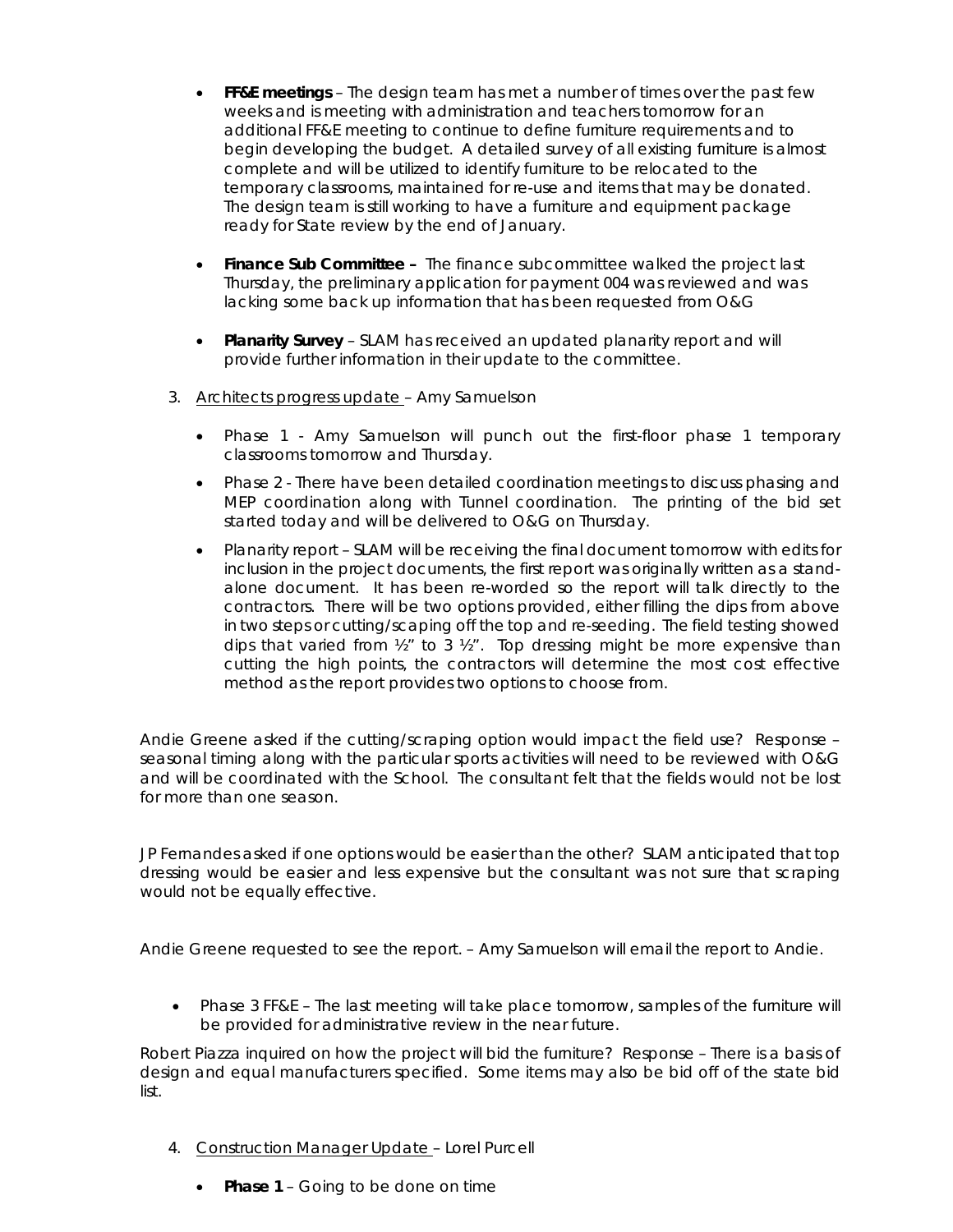- **FF&E meetings** The design team has met a number of times over the past few weeks and is meeting with administration and teachers tomorrow for an additional FF&E meeting to continue to define furniture requirements and to begin developing the budget. A detailed survey of all existing furniture is almost complete and will be utilized to identify furniture to be relocated to the temporary classrooms, maintained for re-use and items that may be donated. The design team is still working to have a furniture and equipment package ready for State review by the end of January.
- **Finance Sub Committee** The finance subcommittee walked the project last Thursday, the preliminary application for payment 004 was reviewed and was lacking some back up information that has been requested from O&G
- **Planarity Survey**  SLAM has received an updated planarity report and will provide further information in their update to the committee.
- 3. Architects progress update Amy Samuelson
	- Phase 1 Amy Samuelson will punch out the first-floor phase 1 temporary classrooms tomorrow and Thursday.
	- Phase 2 There have been detailed coordination meetings to discuss phasing and MEP coordination along with Tunnel coordination. The printing of the bid set started today and will be delivered to O&G on Thursday.
	- Planarity report SLAM will be receiving the final document tomorrow with edits for inclusion in the project documents, the first report was originally written as a standalone document. It has been re-worded so the report will talk directly to the contractors. There will be two options provided, either filling the dips from above in two steps or cutting/scaping off the top and re-seeding. The field testing showed dips that varied from  $\frac{1}{2}$ " to 3  $\frac{1}{2}$ ". Top dressing might be more expensive than cutting the high points, the contractors will determine the most cost effective method as the report provides two options to choose from.

Andie Greene asked if the cutting/scraping option would impact the field use? Response – seasonal timing along with the particular sports activities will need to be reviewed with O&G and will be coordinated with the School. The consultant felt that the fields would not be lost for more than one season.

JP Fernandes asked if one options would be easier than the other? SLAM anticipated that top dressing would be easier and less expensive but the consultant was not sure that scraping would not be equally effective.

Andie Greene requested to see the report. – Amy Samuelson will email the report to Andie.

• Phase 3 FF&E – The last meeting will take place tomorrow, samples of the furniture will be provided for administrative review in the near future.

Robert Piazza inquired on how the project will bid the furniture? Response – There is a basis of design and equal manufacturers specified. Some items may also be bid off of the state bid list.

- 4. Construction Manager Update Lorel Purcell
	- **Phase 1**  Going to be done on time